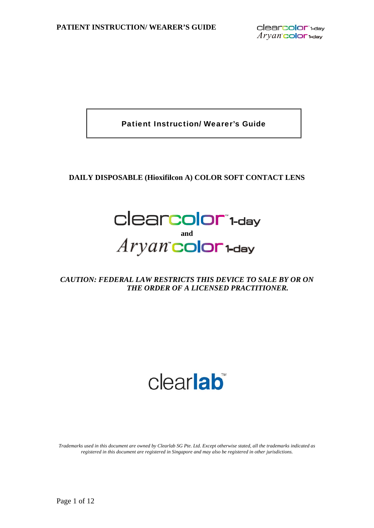Patient Instruction/ Wearer's Guide

## **DAILY DISPOSABLE (Hioxifilcon A) COLOR SOFT CONTACT LENS**



*CAUTION: FEDERAL LAW RESTRICTS THIS DEVICE TO SALE BY OR ON THE ORDER OF A LICENSED PRACTITIONER.* 

# clearlab<sup>®</sup>

*Trademarks used in this document are owned by Clearlab SG Pte. Ltd. Except otherwise stated, all the trademarks indicated as registered in this document are registered in Singapore and may also be registered in other jurisdictions.*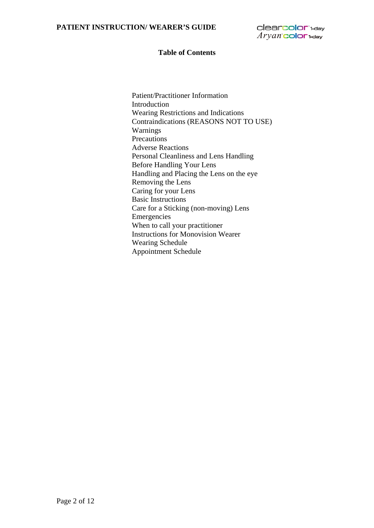clearcolor<sup>14ay</sup>  $Aryan$  color  $1$ -day

#### **Table of Contents**

Patient/Practitioner Information Introduction Wearing Restrictions and Indications Contraindications (REASONS NOT TO USE) Warnings Precautions Adverse Reactions Personal Cleanliness and Lens Handling Before Handling Your Lens Handling and Placing the Lens on the eye Removing the Lens Caring for your Lens Basic Instructions Care for a Sticking (non-moving) Lens Emergencies When to call your practitioner Instructions for Monovision Wearer Wearing Schedule Appointment Schedule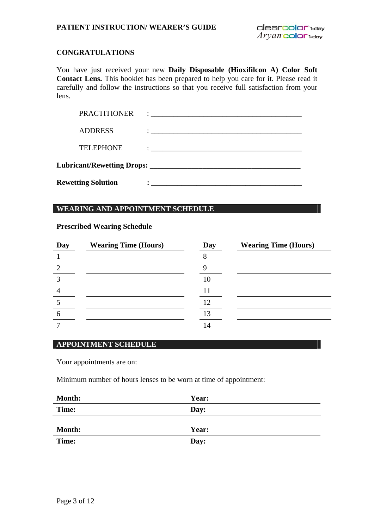## **CONGRATULATIONS**

You have just received your new **Daily Disposable (Hioxifilcon A) Color Soft Contact Lens.** This booklet has been prepared to help you care for it. Please read it carefully and follow the instructions so that you receive full satisfaction from your lens.

| <b>Rewetting Solution</b> |                                                                                                                                                                                                                                     |  |
|---------------------------|-------------------------------------------------------------------------------------------------------------------------------------------------------------------------------------------------------------------------------------|--|
|                           |                                                                                                                                                                                                                                     |  |
| <b>TELEPHONE</b>          |                                                                                                                                                                                                                                     |  |
| <b>ADDRESS</b>            |                                                                                                                                                                                                                                     |  |
| <b>PRACTITIONER</b>       | $\ddot{\cdot}$ . The contract of the contract of the contract of the contract of the contract of the contract of the contract of the contract of the contract of the contract of the contract of the contract of the contract of th |  |

## **WEARING AND APPOINTMENT SCHEDULE**

#### **Prescribed Wearing Schedule**

| Day | <b>Wearing Time (Hours)</b> | Day | <b>Wearing Time (Hours)</b> |
|-----|-----------------------------|-----|-----------------------------|
|     |                             |     |                             |
|     |                             |     |                             |
|     |                             |     |                             |
|     |                             |     |                             |
|     |                             |     |                             |
|     |                             |     |                             |
|     |                             |     |                             |

## **APPOINTMENT SCHEDULE**

Your appointments are on:

Minimum number of hours lenses to be worn at time of appointment:

| Year: |
|-------|
| Day:  |
|       |
| Year: |
| Day:  |
|       |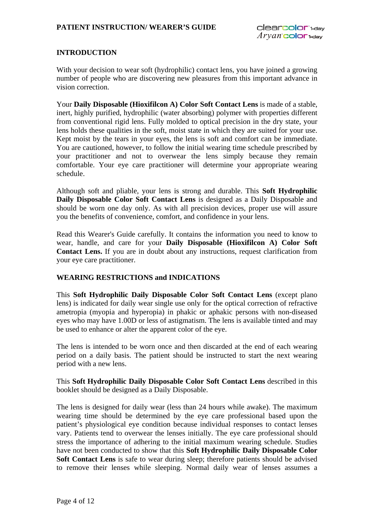## **INTRODUCTION**

With your decision to wear soft (hydrophilic) contact lens, you have joined a growing number of people who are discovering new pleasures from this important advance in vision correction.

Your **Daily Disposable (Hioxifilcon A) Color Soft Contact Lens** is made of a stable, inert, highly purified, hydrophilic (water absorbing) polymer with properties different from conventional rigid lens. Fully molded to optical precision in the dry state, your lens holds these qualities in the soft, moist state in which they are suited for your use. Kept moist by the tears in your eyes, the lens is soft and comfort can be immediate. You are cautioned, however, to follow the initial wearing time schedule prescribed by your practitioner and not to overwear the lens simply because they remain comfortable. Your eye care practitioner will determine your appropriate wearing schedule.

Although soft and pliable, your lens is strong and durable. This **Soft Hydrophilic Daily Disposable Color Soft Contact Lens** is designed as a Daily Disposable and should be worn one day only. As with all precision devices, proper use will assure you the benefits of convenience, comfort, and confidence in your lens.

Read this Wearer's Guide carefully. It contains the information you need to know to wear, handle, and care for your **Daily Disposable (Hioxifilcon A) Color Soft Contact Lens.** If you are in doubt about any instructions, request clarification from your eye care practitioner.

## **WEARING RESTRICTIONS and INDICATIONS**

This **Soft Hydrophilic Daily Disposable Color Soft Contact Lens** (except plano lens) is indicated for daily wear single use only for the optical correction of refractive ametropia (myopia and hyperopia) in phakic or aphakic persons with non-diseased eyes who may have 1.00D or less of astigmatism. The lens is available tinted and may be used to enhance or alter the apparent color of the eye.

The lens is intended to be worn once and then discarded at the end of each wearing period on a daily basis. The patient should be instructed to start the next wearing period with a new lens.

This **Soft Hydrophilic Daily Disposable Color Soft Contact Lens** described in this booklet should be designed as a Daily Disposable.

The lens is designed for daily wear (less than 24 hours while awake). The maximum wearing time should be determined by the eye care professional based upon the patient's physiological eye condition because individual responses to contact lenses vary. Patients tend to overwear the lenses initially. The eye care professional should stress the importance of adhering to the initial maximum wearing schedule. Studies have not been conducted to show that this **Soft Hydrophilic Daily Disposable Color Soft Contact Lens** is safe to wear during sleep; therefore patients should be advised to remove their lenses while sleeping. Normal daily wear of lenses assumes a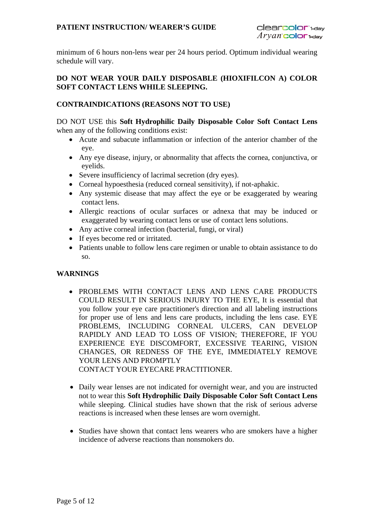minimum of 6 hours non-lens wear per 24 hours period. Optimum individual wearing schedule will vary.

## **DO NOT WEAR YOUR DAILY DISPOSABLE (HIOXIFILCON A) COLOR SOFT CONTACT LENS WHILE SLEEPING.**

## **CONTRAINDICATIONS (REASONS NOT TO USE)**

DO NOT USE this **Soft Hydrophilic Daily Disposable Color Soft Contact Lens** when any of the following conditions exist:

- Acute and subacute inflammation or infection of the anterior chamber of the eye.
- Any eye disease, injury, or abnormality that affects the cornea, conjunctiva, or eyelids.
- Severe insufficiency of lacrimal secretion (dry eyes).
- Corneal hypoesthesia (reduced corneal sensitivity), if not-aphakic.
- Any systemic disease that may affect the eye or be exaggerated by wearing contact lens.
- Allergic reactions of ocular surfaces or adnexa that may be induced or exaggerated by wearing contact lens or use of contact lens solutions.
- Any active corneal infection (bacterial, fungi, or viral)
- If eyes become red or irritated.
- Patients unable to follow lens care regimen or unable to obtain assistance to do so.

## **WARNINGS**

- PROBLEMS WITH CONTACT LENS AND LENS CARE PRODUCTS COULD RESULT IN SERIOUS INJURY TO THE EYE, It is essential that you follow your eye care practitioner's direction and all labeling instructions for proper use of lens and lens care products, including the lens case. EYE PROBLEMS, INCLUDING CORNEAL ULCERS, CAN DEVELOP RAPIDLY AND LEAD TO LOSS OF VISION; THEREFORE, IF YOU EXPERIENCE EYE DISCOMFORT, EXCESSIVE TEARING, VISION CHANGES, OR REDNESS OF THE EYE, IMMEDIATELY REMOVE YOUR LENS AND PROMPTLY CONTACT YOUR EYECARE PRACTITIONER.
- Daily wear lenses are not indicated for overnight wear, and you are instructed not to wear this **Soft Hydrophilic Daily Disposable Color Soft Contact Lens** while sleeping. Clinical studies have shown that the risk of serious adverse reactions is increased when these lenses are worn overnight.
- Studies have shown that contact lens wearers who are smokers have a higher incidence of adverse reactions than nonsmokers do.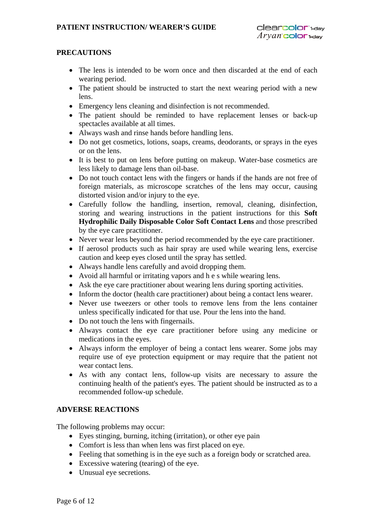## **PRECAUTIONS**

- The lens is intended to be worn once and then discarded at the end of each wearing period.
- The patient should be instructed to start the next wearing period with a new lens.
- Emergency lens cleaning and disinfection is not recommended.
- The patient should be reminded to have replacement lenses or back-up spectacles available at all times.
- Always wash and rinse hands before handling lens.
- Do not get cosmetics, lotions, soaps, creams, deodorants, or sprays in the eyes or on the lens.
- It is best to put on lens before putting on makeup. Water-base cosmetics are less likely to damage lens than oil-base.
- Do not touch contact lens with the fingers or hands if the hands are not free of foreign materials, as microscope scratches of the lens may occur, causing distorted vision and/or injury to the eye.
- Carefully follow the handling, insertion, removal, cleaning, disinfection, storing and wearing instructions in the patient instructions for this **Soft Hydrophilic Daily Disposable Color Soft Contact Lens** and those prescribed by the eye care practitioner.
- Never wear lens beyond the period recommended by the eye care practitioner.
- If aerosol products such as hair spray are used while wearing lens, exercise caution and keep eyes closed until the spray has settled.
- Always handle lens carefully and avoid dropping them.
- Avoid all harmful or irritating vapors and h e s while wearing lens.
- Ask the eye care practitioner about wearing lens during sporting activities.
- Inform the doctor (health care practitioner) about being a contact lens wearer.
- Never use tweezers or other tools to remove lens from the lens container unless specifically indicated for that use. Pour the lens into the hand.
- Do not touch the lens with fingernails.
- Always contact the eye care practitioner before using any medicine or medications in the eyes.
- Always inform the employer of being a contact lens wearer. Some jobs may require use of eye protection equipment or may require that the patient not wear contact lens.
- As with any contact lens, follow-up visits are necessary to assure the continuing health of the patient's eyes. The patient should be instructed as to a recommended follow-up schedule.

## **ADVERSE REACTIONS**

The following problems may occur:

- Eyes stinging, burning, itching (irritation), or other eye pain
- Comfort is less than when lens was first placed on eye.
- Feeling that something is in the eye such as a foreign body or scratched area.
- Excessive watering (tearing) of the eye.
- Unusual eye secretions.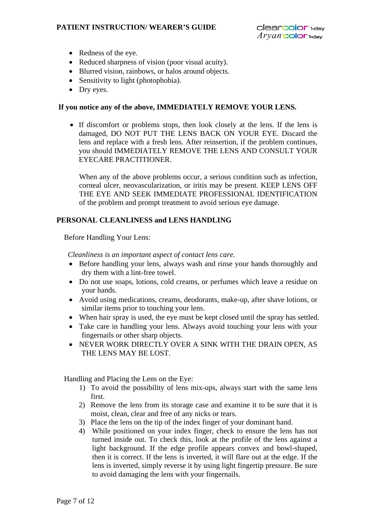#### **PATIENT INSTRUCTION/ WEARER'S GUIDE**

- Redness of the eye.
- Reduced sharpness of vision (poor visual acuity).
- Blurred vision, rainbows, or halos around objects.
- Sensitivity to light (photophobia).
- Dry eyes.

#### **If you notice any of the above, IMMEDIATELY REMOVE YOUR LENS.**

 If discomfort or problems stops, then look closely at the lens. If the lens is damaged, DO NOT PUT THE LENS BACK ON YOUR EYE. Discard the lens and replace with a fresh lens. After reinsertion, if the problem continues, you should IMMEDIATELY REMOVE THE LENS AND CONSULT YOUR EYECARE PRACTITIONER.

When any of the above problems occur, a serious condition such as infection, corneal ulcer, neovascularization, or iritis may be present. KEEP LENS OFF THE EYE AND SEEK IMMEDIATE PROFESSIONAL IDENTIFICATION of the problem and prompt treatment to avoid serious eye damage.

## **PERSONAL CLEANLINESS and LENS HANDLING**

Before Handling Your Lens:

*Cleanliness is an important aspect of contact lens care.*

- Before handling your lens, always wash and rinse your hands thoroughly and dry them with a lint-free towel.
- Do not use soaps, lotions, cold creams, or perfumes which leave a residue on your hands.
- Avoid using medications, creams, deodorants, make-up, after shave lotions, or similar items prior to touching your lens.
- When hair spray is used, the eye must be kept closed until the spray has settled.
- Take care in handling your lens. Always avoid touching your lens with your fingernails or other sharp objects.
- NEVER WORK DIRECTLY OVER A SINK WITH THE DRAIN OPEN, AS THE LENS MAY BE LOST.

Handling and Placing the Lens on the Eye:

- 1) To avoid the possibility of lens mix-ups, always start with the same lens first.
- 2) Remove the lens from its storage case and examine it to be sure that it is moist, clean, clear and free of any nicks or tears.
- 3) Place the lens on the tip of the index finger of your dominant hand.
- 4) While positioned on your index finger, check to ensure the lens has not turned inside out. To check this, look at the profile of the lens against a light background. If the edge profile appears convex and bowl-shaped, then it is correct. If the lens is inverted, it will flare out at the edge. If the lens is inverted, simply reverse it by using light fingertip pressure. Be sure to avoid damaging the lens with your fingernails.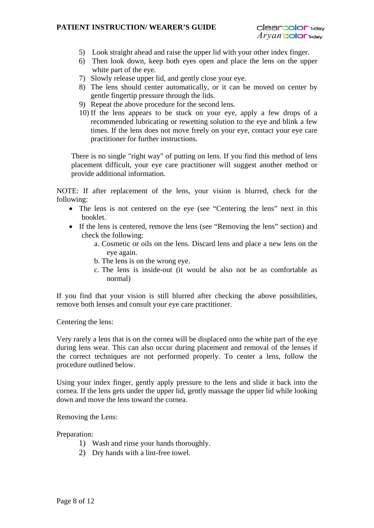#### **PATIENT INSTRUCTION/ WEARER'S GUIDE**

- 5) Look straight ahead and raise the upper lid with your other index finger.
- 6) Then look down, keep both eyes open and place the lens on the upper white part of the eye.
- 7) Slowly release upper lid, and gently close your eye.
- 8) The lens should center automatically, or it can be moved on center by gentle fingertip pressure through the lids.
- 9) Repeat the above procedure for the second lens.
- 10) If the lens appears to be stuck on your eye, apply a few drops of a recommended lubricating or rewetting solution to the eye and blink a few times. If the lens does not move freely on your eye, contact your eye care practitioner for further instructions.

There is no single "right way" of putting on lens. If you find this method of lens placement difficult, your eye care practitioner will suggest another method or provide additional information.

NOTE: If after replacement of the lens, your vision is blurred, check for the following:

- The lens is not centered on the eye (see "Centering the lens" next in this booklet.
- If the lens is centered, remove the lens (see "Removing the lens" section) and check the following:
	- a. Cosmetic or oils on the lens. Discard lens and place a new lens on the eye again.
	- b. The lens is on the wrong eye.
	- c. The lens is inside-out (it would be also not be as comfortable as normal)

If you find that your vision is still blurred after checking the above possibilities, remove both lenses and consult your eye care practitioner.

Centering the lens:

Very rarely a lens that is on the cornea will be displaced onto the white part of the eye during lens wear. This can also occur during placement and removal of the lenses if the correct techniques are not performed properly. To center a lens, follow the procedure outlined below.

Using your index finger, gently apply pressure to the lens and slide it back into the cornea. If the lens gets under the upper lid, gently massage the upper lid while looking down and move the lens toward the cornea.

Removing the Lens:

Preparation:

- 1) Wash and rinse your hands thoroughly.
- 2) Dry hands with a lint-free towel.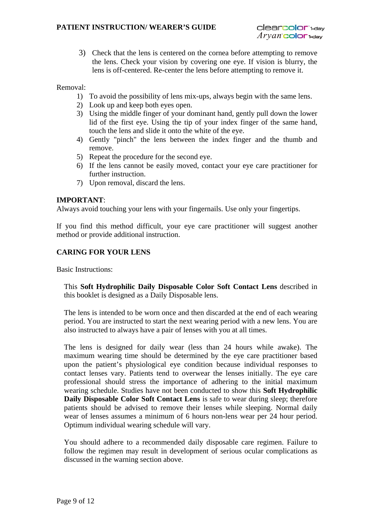3) Check that the lens is centered on the cornea before attempting to remove the lens. Check your vision by covering one eye. If vision is blurry, the lens is off-centered. Re-center the lens before attempting to remove it.

Removal:

- 1) To avoid the possibility of lens mix-ups, always begin with the same lens.
- 2) Look up and keep both eyes open.
- 3) Using the middle finger of your dominant hand, gently pull down the lower lid of the first eye. Using the tip of your index finger of the same hand, touch the lens and slide it onto the white of the eye.
- 4) Gently "pinch" the lens between the index finger and the thumb and remove.
- 5) Repeat the procedure for the second eye.
- 6) If the lens cannot be easily moved, contact your eye care practitioner for further instruction.
- 7) Upon removal, discard the lens.

#### **IMPORTANT**:

Always avoid touching your lens with your fingernails. Use only your fingertips.

If you find this method difficult, your eye care practitioner will suggest another method or provide additional instruction.

## **CARING FOR YOUR LENS**

Basic Instructions:

This **Soft Hydrophilic Daily Disposable Color Soft Contact Lens** described in this booklet is designed as a Daily Disposable lens.

The lens is intended to be worn once and then discarded at the end of each wearing period. You are instructed to start the next wearing period with a new lens. You are also instructed to always have a pair of lenses with you at all times.

The lens is designed for daily wear (less than 24 hours while awake). The maximum wearing time should be determined by the eye care practitioner based upon the patient's physiological eye condition because individual responses to contact lenses vary. Patients tend to overwear the lenses initially. The eye care professional should stress the importance of adhering to the initial maximum wearing schedule. Studies have not been conducted to show this **Soft Hydrophilic Daily Disposable Color Soft Contact Lens** is safe to wear during sleep; therefore patients should be advised to remove their lenses while sleeping. Normal daily wear of lenses assumes a minimum of 6 hours non-lens wear per 24 hour period. Optimum individual wearing schedule will vary.

You should adhere to a recommended daily disposable care regimen. Failure to follow the regimen may result in development of serious ocular complications as discussed in the warning section above.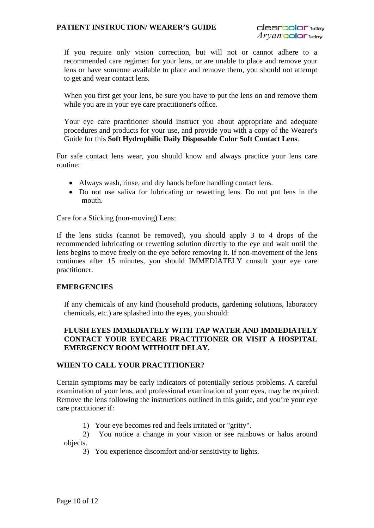#### **PATIENT INSTRUCTION/ WEARER'S GUIDE**

If you require only vision correction, but will not or cannot adhere to a recommended care regimen for your lens, or are unable to place and remove your lens or have someone available to place and remove them, you should not attempt to get and wear contact lens.

When you first get your lens, be sure you have to put the lens on and remove them while you are in your eye care practitioner's office.

Your eye care practitioner should instruct you about appropriate and adequate procedures and products for your use, and provide you with a copy of the Wearer's Guide for this **Soft Hydrophilic Daily Disposable Color Soft Contact Lens**.

For safe contact lens wear, you should know and always practice your lens care routine:

- Always wash, rinse, and dry hands before handling contact lens.
- Do not use saliva for lubricating or rewetting lens. Do not put lens in the mouth.

Care for a Sticking (non-moving) Lens:

If the lens sticks (cannot be removed), you should apply 3 to 4 drops of the recommended lubricating or rewetting solution directly to the eye and wait until the lens begins to move freely on the eye before removing it. If non-movement of the lens continues after 15 minutes, you should IMMEDIATELY consult your eye care practitioner.

#### **EMERGENCIES**

If any chemicals of any kind (household products, gardening solutions, laboratory chemicals, etc.) are splashed into the eyes, you should:

## **FLUSH EYES IMMEDIATELY WITH TAP WATER AND IMMEDIATELY CONTACT YOUR EYECARE PRACTITIONER OR VISIT A HOSPITAL EMERGENCY ROOM WITHOUT DELAY.**

#### **WHEN TO CALL YOUR PRACTITIONER?**

Certain symptoms may be early indicators of potentially serious problems. A careful examination of your lens, and professional examination of your eyes, may be required. Remove the lens following the instructions outlined in this guide, and you're your eye care practitioner if:

- 1) Your eye becomes red and feels irritated or "gritty".
- 2) You notice a change in your vision or see rainbows or halos around objects.
	- 3) You experience discomfort and/or sensitivity to lights.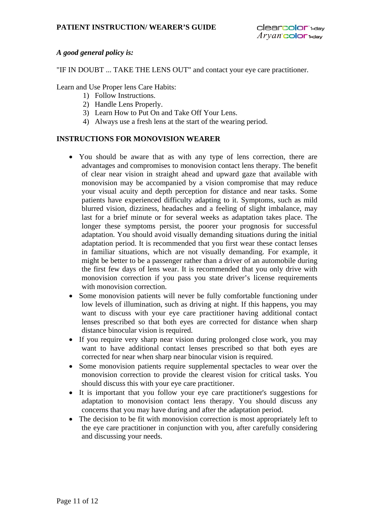## *A good general policy is:*

"IF IN DOUBT ... TAKE THE LENS OUT" and contact your eye care practitioner.

Learn and Use Proper lens Care Habits:

- 1) Follow Instructions.
- 2) Handle Lens Properly.
- 3)Learn How to Put On and Take Off Your Lens.
- 4) Always use a fresh lens at the start of the wearing period.

## **INSTRUCTIONS FOR MONOVISION WEARER**

- You should be aware that as with any type of lens correction, there are advantages and compromises to monovision contact lens therapy. The benefit of clear near vision in straight ahead and upward gaze that available with monovision may be accompanied by a vision compromise that may reduce your visual acuity and depth perception for distance and near tasks. Some patients have experienced difficulty adapting to it. Symptoms, such as mild blurred vision, dizziness, headaches and a feeling of slight imbalance, may last for a brief minute or for several weeks as adaptation takes place. The longer these symptoms persist, the poorer your prognosis for successful adaptation. You should avoid visually demanding situations during the initial adaptation period. It is recommended that you first wear these contact lenses in familiar situations, which are not visually demanding. For example, it might be better to be a passenger rather than a driver of an automobile during the first few days of lens wear. It is recommended that you only drive with monovision correction if you pass you state driver's license requirements with monovision correction.
- Some monovision patients will never be fully comfortable functioning under low levels of illumination, such as driving at night. If this happens, you may want to discuss with your eye care practitioner having additional contact lenses prescribed so that both eyes are corrected for distance when sharp distance binocular vision is required.
- If you require very sharp near vision during prolonged close work, you may want to have additional contact lenses prescribed so that both eyes are corrected for near when sharp near binocular vision is required.
- Some monovision patients require supplemental spectacles to wear over the monovision correction to provide the clearest vision for critical tasks. You should discuss this with your eye care practitioner.
- It is important that you follow your eye care practitioner's suggestions for adaptation to monovision contact lens therapy. You should discuss any concerns that you may have during and after the adaptation period.
- The decision to be fit with monovision correction is most appropriately left to the eye care practitioner in conjunction with you, after carefully considering and discussing your needs.